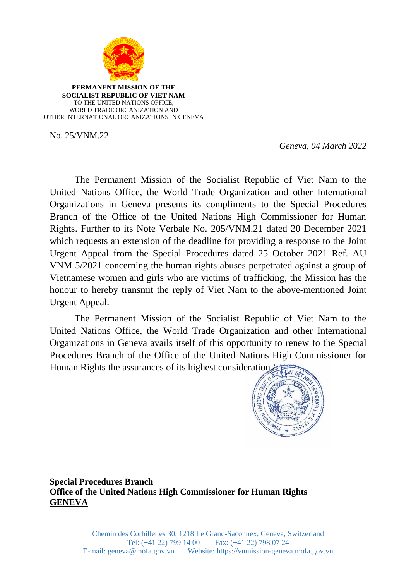

**PERMANENT MISSION OF THE SOCIALIST REPUBLIC OF VIET NAM** TO THE UNITED NATIONS OFFICE, WORLD TRADE ORGANIZATION AND OTHER INTERNATIONAL ORGANIZATIONS IN GENEVA

No. 25/VNM.22

 *Geneva, 04 March 2022*

The Permanent Mission of the Socialist Republic of Viet Nam to the United Nations Office, the World Trade Organization and other International Organizations in Geneva presents its compliments to the Special Procedures Branch of the Office of the United Nations High Commissioner for Human Rights. Further to its Note Verbale No. 205/VNM.21 dated 20 December 2021 which requests an extension of the deadline for providing a response to the Joint Urgent Appeal from the Special Procedures dated 25 October 2021 Ref. AU VNM 5/2021 concerning the human rights abuses perpetrated against a group of Vietnamese women and girls who are victims of trafficking, the Mission has the honour to hereby transmit the reply of Viet Nam to the above-mentioned Joint Urgent Appeal.

The Permanent Mission of the Socialist Republic of Viet Nam to the United Nations Office, the World Trade Organization and other International Organizations in Geneva avails itself of this opportunity to renew to the Special Procedures Branch of the Office of the United Nations High Commissioner for Human Rights the assurances of its highest consideration.



**Special Procedures Branch Office of the United Nations High Commissioner for Human Rights GENEVA**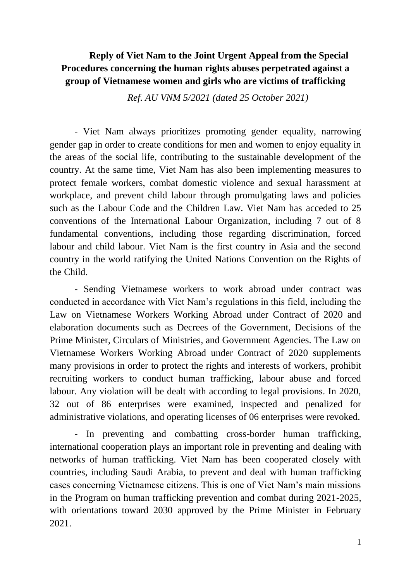## **Reply of Viet Nam to the Joint Urgent Appeal from the Special Procedures concerning the human rights abuses perpetrated against a group of Vietnamese women and girls who are victims of trafficking**

*Ref. AU VNM 5/2021 (dated 25 October 2021)*

- Viet Nam always prioritizes promoting gender equality, narrowing gender gap in order to create conditions for men and women to enjoy equality in the areas of the social life, contributing to the sustainable development of the country. At the same time, Viet Nam has also been implementing measures to protect female workers, combat domestic violence and sexual harassment at workplace, and prevent child labour through promulgating laws and policies such as the Labour Code and the Children Law. Viet Nam has acceded to 25 conventions of the International Labour Organization, including 7 out of 8 fundamental conventions, including those regarding discrimination, forced labour and child labour. Viet Nam is the first country in Asia and the second country in the world ratifying the United Nations Convention on the Rights of the Child.

- Sending Vietnamese workers to work abroad under contract was conducted in accordance with Viet Nam's regulations in this field, including the Law on Vietnamese Workers Working Abroad under Contract of 2020 and elaboration documents such as Decrees of the Government, Decisions of the Prime Minister, Circulars of Ministries, and Government Agencies. The Law on Vietnamese Workers Working Abroad under Contract of 2020 supplements many provisions in order to protect the rights and interests of workers, prohibit recruiting workers to conduct human trafficking, labour abuse and forced labour. Any violation will be dealt with according to legal provisions. In 2020, 32 out of 86 enterprises were examined, inspected and penalized for administrative violations, and operating licenses of 06 enterprises were revoked.

- In preventing and combatting cross-border human trafficking, international cooperation plays an important role in preventing and dealing with networks of human trafficking. Viet Nam has been cooperated closely with countries, including Saudi Arabia, to prevent and deal with human trafficking cases concerning Vietnamese citizens. This is one of Viet Nam's main missions in the Program on human trafficking prevention and combat during 2021-2025, with orientations toward 2030 approved by the Prime Minister in February 2021.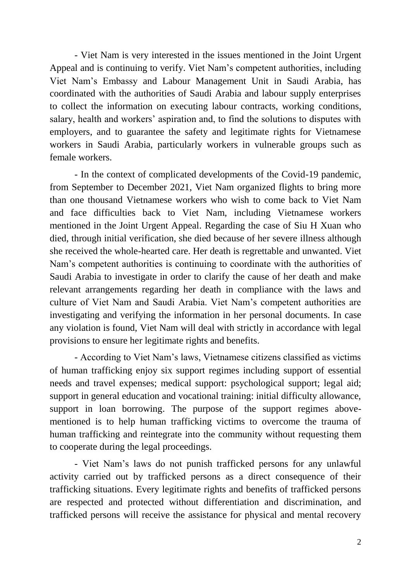- Viet Nam is very interested in the issues mentioned in the Joint Urgent Appeal and is continuing to verify. Viet Nam's competent authorities, including Viet Nam's Embassy and Labour Management Unit in Saudi Arabia, has coordinated with the authorities of Saudi Arabia and labour supply enterprises to collect the information on executing labour contracts, working conditions, salary, health and workers' aspiration and, to find the solutions to disputes with employers, and to guarantee the safety and legitimate rights for Vietnamese workers in Saudi Arabia, particularly workers in vulnerable groups such as female workers.

- In the context of complicated developments of the Covid-19 pandemic, from September to December 2021, Viet Nam organized flights to bring more than one thousand Vietnamese workers who wish to come back to Viet Nam and face difficulties back to Viet Nam, including Vietnamese workers mentioned in the Joint Urgent Appeal. Regarding the case of Siu H Xuan who died, through initial verification, she died because of her severe illness although she received the whole-hearted care. Her death is regrettable and unwanted. Viet Nam's competent authorities is continuing to coordinate with the authorities of Saudi Arabia to investigate in order to clarify the cause of her death and make relevant arrangements regarding her death in compliance with the laws and culture of Viet Nam and Saudi Arabia. Viet Nam's competent authorities are investigating and verifying the information in her personal documents. In case any violation is found, Viet Nam will deal with strictly in accordance with legal provisions to ensure her legitimate rights and benefits.

- According to Viet Nam's laws, Vietnamese citizens classified as victims of human trafficking enjoy six support regimes including support of essential needs and travel expenses; medical support: psychological support; legal aid; support in general education and vocational training: initial difficulty allowance, support in loan borrowing. The purpose of the support regimes abovementioned is to help human trafficking victims to overcome the trauma of human trafficking and reintegrate into the community without requesting them to cooperate during the legal proceedings.

- Viet Nam's laws do not punish trafficked persons for any unlawful activity carried out by trafficked persons as a direct consequence of their trafficking situations. Every legitimate rights and benefits of trafficked persons are respected and protected without differentiation and discrimination, and trafficked persons will receive the assistance for physical and mental recovery